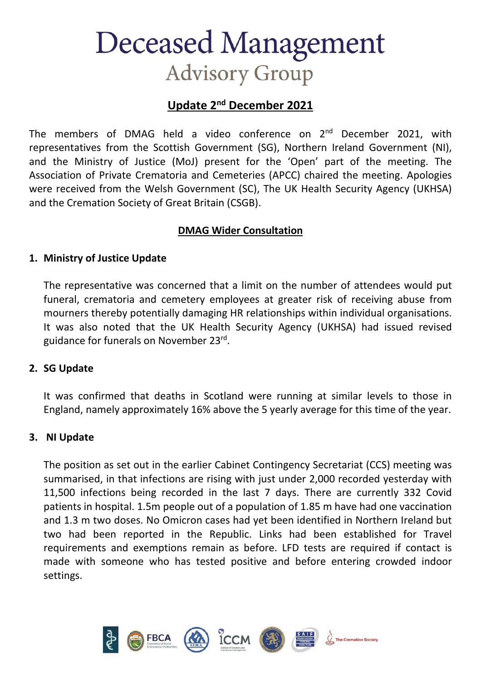## **Deceased Management Advisory Group**

## **Update 2nd December 2021**

The members of DMAG held a video conference on  $2^{nd}$  December 2021, with representatives from the Scottish Government (SG), Northern Ireland Government (NI), and the Ministry of Justice (MoJ) present for the 'Open' part of the meeting. The Association of Private Crematoria and Cemeteries (APCC) chaired the meeting. Apologies were received from the Welsh Government (SC), The UK Health Security Agency (UKHSA) and the Cremation Society of Great Britain (CSGB).

## **DMAG Wider Consultation**

#### **1. Ministry of Justice Update**

The representative was concerned that a limit on the number of attendees would put funeral, crematoria and cemetery employees at greater risk of receiving abuse from mourners thereby potentially damaging HR relationships within individual organisations. It was also noted that the UK Health Security Agency (UKHSA) had issued revised guidance for funerals on November 23rd.

### **2. SG Update**

It was confirmed that deaths in Scotland were running at similar levels to those in England, namely approximately 16% above the 5 yearly average for this time of the year.

### **3. NI Update**

The position as set out in the earlier Cabinet Contingency Secretariat (CCS) meeting was summarised, in that infections are rising with just under 2,000 recorded yesterday with 11,500 infections being recorded in the last 7 days. There are currently 332 Covid patients in hospital. 1.5m people out of a population of 1.85 m have had one vaccination and 1.3 m two doses. No Omicron cases had yet been identified in Northern Ireland but two had been reported in the Republic. Links had been established for Travel requirements and exemptions remain as before. LFD tests are required if contact is made with someone who has tested positive and before entering crowded indoor settings.

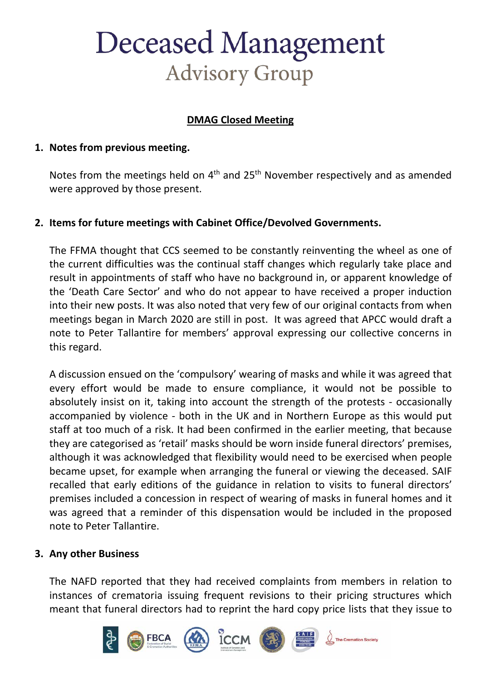# **Deceased Management Advisory Group**

## **DMAG Closed Meeting**

### **1. Notes from previous meeting.**

Notes from the meetings held on  $4<sup>th</sup>$  and  $25<sup>th</sup>$  November respectively and as amended were approved by those present.

## **2. Items for future meetings with Cabinet Office/Devolved Governments.**

The FFMA thought that CCS seemed to be constantly reinventing the wheel as one of the current difficulties was the continual staff changes which regularly take place and result in appointments of staff who have no background in, or apparent knowledge of the 'Death Care Sector' and who do not appear to have received a proper induction into their new posts. It was also noted that very few of our original contacts from when meetings began in March 2020 are still in post. It was agreed that APCC would draft a note to Peter Tallantire for members' approval expressing our collective concerns in this regard.

A discussion ensued on the 'compulsory' wearing of masks and while it was agreed that every effort would be made to ensure compliance, it would not be possible to absolutely insist on it, taking into account the strength of the protests - occasionally accompanied by violence - both in the UK and in Northern Europe as this would put staff at too much of a risk. It had been confirmed in the earlier meeting, that because they are categorised as 'retail' masks should be worn inside funeral directors' premises, although it was acknowledged that flexibility would need to be exercised when people became upset, for example when arranging the funeral or viewing the deceased. SAIF recalled that early editions of the guidance in relation to visits to funeral directors' premises included a concession in respect of wearing of masks in funeral homes and it was agreed that a reminder of this dispensation would be included in the proposed note to Peter Tallantire.

### **3. Any other Business**

The NAFD reported that they had received complaints from members in relation to instances of crematoria issuing frequent revisions to their pricing structures which meant that funeral directors had to reprint the hard copy price lists that they issue to